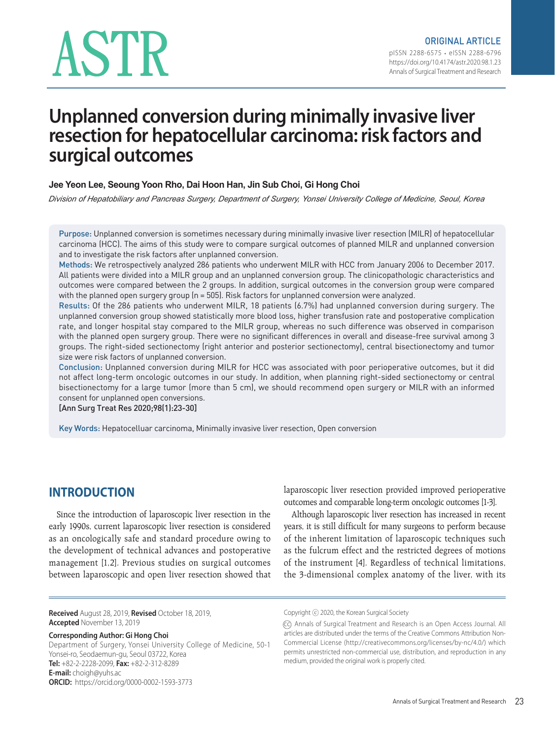# ASTR

# **Unplanned conversion during minimally invasive liver resection for hepatocellular carcinoma: risk factors and surgical outcomes**

#### **Jee Yeon Lee, Seoung Yoon Rho, Dai Hoon Han, Jin Sub Choi, Gi Hong Choi**

*Division of Hepatobiliary and Pancreas Surgery, Department of Surgery, Yonsei University College of Medicine, Seoul, Korea*

Purpose: Unplanned conversion is sometimes necessary during minimally invasive liver resection (MILR) of hepatocellular carcinoma (HCC). The aims of this study were to compare surgical outcomes of planned MILR and unplanned conversion and to investigate the risk factors after unplanned conversion.

Methods: We retrospectively analyzed 286 patients who underwent MILR with HCC from January 2006 to December 2017. All patients were divided into a MILR group and an unplanned conversion group. The clinicopathologic characteristics and outcomes were compared between the 2 groups. In addition, surgical outcomes in the conversion group were compared with the planned open surgery group  $(n = 505)$ . Risk factors for unplanned conversion were analyzed.

Results: Of the 286 patients who underwent MILR, 18 patients (6.7%) had unplanned conversion during surgery. The unplanned conversion group showed statistically more blood loss, higher transfusion rate and postoperative complication rate, and longer hospital stay compared to the MILR group, whereas no such difference was observed in comparison with the planned open surgery group. There were no significant differences in overall and disease-free survival among 3 groups. The right-sided sectionectomy (right anterior and posterior sectionectomy), central bisectionectomy and tumor size were risk factors of unplanned conversion.

Conclusion: Unplanned conversion during MILR for HCC was associated with poor perioperative outcomes, but it did not affect long-term oncologic outcomes in our study. In addition, when planning right-sided sectionectomy or central bisectionectomy for a large tumor (more than 5 cm), we should recommend open surgery or MILR with an informed consent for unplanned open conversions.

[Ann Surg Treat Res 2020;98(1):23-30]

Key Words: Hepatocelluar carcinoma, Minimally invasive liver resection, Open conversion

# **INTRODUCTION**

Since the introduction of laparoscopic liver resection in the early 1990s, current laparoscopic liver resection is considered as an oncologically safe and standard procedure owing to the development of technical advances and postoperative management [1,2]. Previous studies on surgical outcomes between laparoscopic and open liver resection showed that outcomes and comparable long-term oncologic outcomes [1-3]. Although laparoscopic liver resection has increased in recent

laparoscopic liver resection provided improved perioperative

years, it is still difficult for many surgeons to perform because of the inherent limitation of laparoscopic techniques such as the fulcrum effect and the restricted degrees of motions of the instrument [4]. Regardless of technical limitations, the 3-dimensional complex anatomy of the liver, with its

**Received** August 28, 2019, **Revised** October 18, 2019, **Accepted** November 13, 2019

#### **Corresponding Author: Gi Hong Choi**

Department of Surgery, Yonsei University College of Medicine, 50-1 Yonsei-ro, Seodaemun-gu, Seoul 03722, Korea **Tel:** +82-2-2228-2099, **Fax:** +82-2-312-8289 **E-mail:** choigh@yuhs.ac **ORCID:** https://orcid.org/0000-0002-1593-3773

Copyright ⓒ 2020, the Korean Surgical Society

<sup>(</sup>Cc) Annals of Surgical Treatment and Research is an Open Access Journal. All articles are distributed under the terms of the Creative Commons Attribution Non-Commercial License (http://creativecommons.org/licenses/by-nc/4.0/) which permits unrestricted non-commercial use, distribution, and reproduction in any medium, provided the original work is properly cited.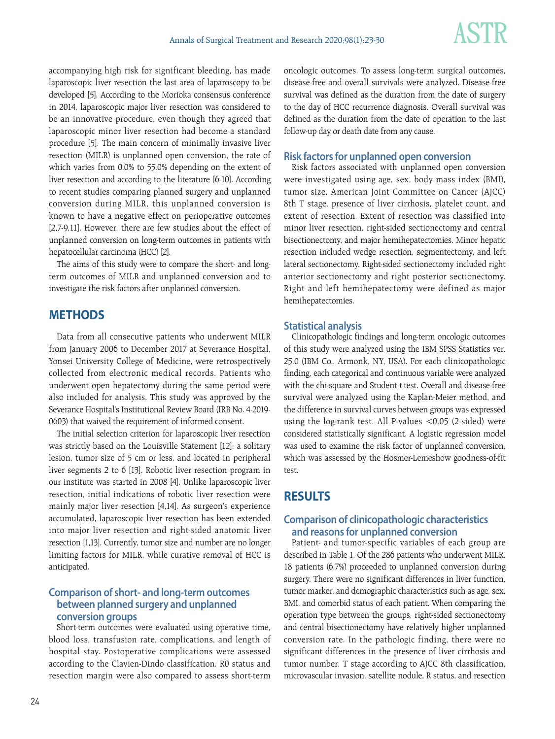

accompanying high risk for significant bleeding, has made laparoscopic liver resection the last area of laparoscopy to be developed [5]. According to the Morioka consensus conference in 2014, laparoscopic major liver resection was considered to be an innovative procedure, even though they agreed that laparoscopic minor liver resection had become a standard procedure [5]. The main concern of minimally invasive liver resection (MILR) is unplanned open conversion, the rate of which varies from 0.0% to 55.0% depending on the extent of liver resection and according to the literature [6-10]. According to recent studies comparing planned surgery and unplanned conversion during MILR, this unplanned conversion is known to have a negative effect on perioperative outcomes [2,7-9,11]. However, there are few studies about the effect of unplanned conversion on long-term outcomes in patients with hepatocellular carcinoma (HCC) [2].

The aims of this study were to compare the short- and longterm outcomes of MILR and unplanned conversion and to investigate the risk factors after unplanned conversion.

# **METHODS**

Data from all consecutive patients who underwent MILR from January 2006 to December 2017 at Severance Hospital, Yonsei University College of Medicine, were retrospectively collected from electronic medical records. Patients who underwent open hepatectomy during the same period were also included for analysis. This study was approved by the Severance Hospital's Institutional Review Board (IRB No. 4-2019-0603) that waived the requirement of informed consent.

The initial selection criterion for laparoscopic liver resection was strictly based on the Louisville Statement [12]: a solitary lesion, tumor size of 5 cm or less, and located in peripheral liver segments 2 to 6 [13]. Robotic liver resection program in our institute was started in 2008 [4]. Unlike laparoscopic liver resection, initial indications of robotic liver resection were mainly major liver resection [4,14]. As surgeon's experience accumulated, laparoscopic liver resection has been extended into major liver resection and right-sided anatomic liver resection [1,13]. Currently, tumor size and number are no longer limiting factors for MILR, while curative removal of HCC is anticipated.

## **Comparison of short- and long-term outcomes between planned surgery and unplanned conversion groups**

Short-term outcomes were evaluated using operative time, blood loss, transfusion rate, complications, and length of hospital stay. Postoperative complications were assessed according to the Clavien-Dindo classification. R0 status and resection margin were also compared to assess short-term oncologic outcomes. To assess long-term surgical outcomes, disease-free and overall survivals were analyzed. Disease-free survival was defined as the duration from the date of surgery to the day of HCC recurrence diagnosis. Overall survival was defined as the duration from the date of operation to the last follow-up day or death date from any cause.

#### **Risk factors for unplanned open conversion**

Risk factors associated with unplanned open conversion were investigated using age, sex, body mass index (BMI), tumor size, American Joint Committee on Cancer (AJCC) 8th T stage, presence of liver cirrhosis, platelet count, and extent of resection. Extent of resection was classified into minor liver resection, right-sided sectionectomy and central bisectionectomy, and major hemihepatectomies. Minor hepatic resection included wedge resection, segmentectomy, and left lateral sectionectomy. Right-sided sectionectomy included right anterior sectionectomy and right posterior sectionectomy. Right and left hemihepatectomy were defined as major hemihepatectomies.

#### **Statistical analysis**

Clinicopathologic findings and long-term oncologic outcomes of this study were analyzed using the IBM SPSS Statistics ver. 25.0 (IBM Co., Armonk, NY, USA). For each clinicopathologic finding, each categorical and continuous variable were analyzed with the chi-square and Student t-test. Overall and disease-free survival were analyzed using the Kaplan-Meier method, and the difference in survival curves between groups was expressed using the log-rank test. All P-values <0.05 (2-sided) were considered statistically significant. A logistic regression model was used to examine the risk factor of unplanned conversion, which was assessed by the Hosmer-Lemeshow goodness-of-fit test.

# **RESULTS**

### **Comparison of clinicopathologic characteristics and reasons for unplanned conversion**

Patient- and tumor-specific variables of each group are described in Table 1. Of the 286 patients who underwent MILR, 18 patients (6.7%) proceeded to unplanned conversion during surgery. There were no significant differences in liver function, tumor marker, and demographic characteristics such as age, sex, BMI, and comorbid status of each patient. When comparing the operation type between the groups, right-sided sectionectomy and central bisectionectomy have relatively higher unplanned conversion rate. In the pathologic finding, there were no significant differences in the presence of liver cirrhosis and tumor number, T stage according to AJCC 8th classification, microvascular invasion, satellite nodule, R status, and resection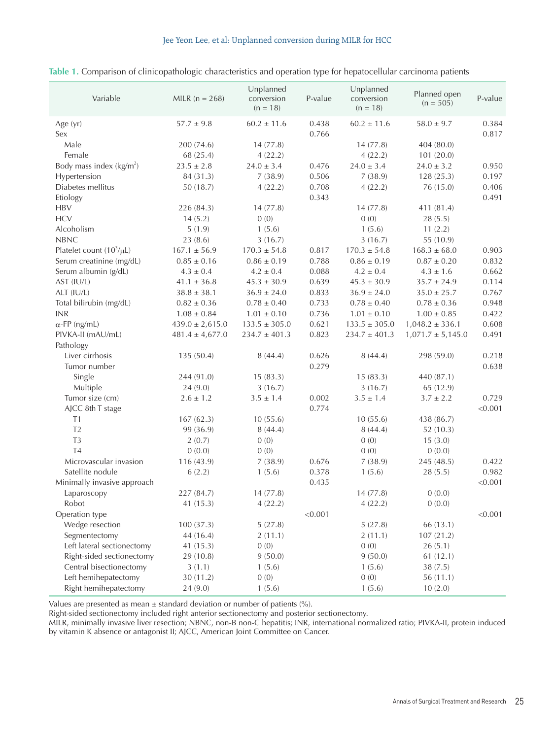#### Jee Yeon Lee, et al: Unplanned conversion during MILR for HCC

| Variable                                  | MILR $(n = 268)$                           | Unplanned<br>conversion<br>$(n = 18)$ | P-value        | Unplanned<br>conversion<br>$(n = 18)$ | Planned open<br>$(n = 505)$  | P-value        |
|-------------------------------------------|--------------------------------------------|---------------------------------------|----------------|---------------------------------------|------------------------------|----------------|
| Age (yr)<br>Sex                           | $57.7 \pm 9.8$                             | $60.2 \pm 11.6$                       | 0.438<br>0.766 | $60.2 \pm 11.6$                       | $58.0 \pm 9.7$               | 0.384<br>0.817 |
| Male                                      |                                            |                                       |                | 14(77.8)                              | 404 (80.0)                   |                |
| Female                                    | 200 (74.6)                                 | 14(77.8)                              |                | 4(22.2)                               |                              |                |
| Body mass index $(kg/m2)$                 | 68 (25.4)<br>$23.5 \pm 2.8$                | 4(22.2)<br>$24.0 \pm 3.4$             | 0.476          | $24.0 \pm 3.4$                        | 101 (20.0)<br>$24.0 \pm 3.2$ | 0.950          |
| Hypertension                              | 84 (31.3)                                  | 7(38.9)                               | 0.506          | 7(38.9)                               | 128 (25.3)                   | 0.197          |
| Diabetes mellitus                         | 50(18.7)                                   | 4(22.2)                               | 0.708          | 4(22.2)                               | 76 (15.0)                    | 0.406          |
| Etiology                                  |                                            |                                       | 0.343          |                                       |                              | 0.491          |
| <b>HBV</b>                                | 226 (84.3)                                 | 14(77.8)                              |                | 14(77.8)                              | 411 (81.4)                   |                |
| <b>HCV</b>                                | 14(5.2)                                    | 0(0)                                  |                | 0(0)                                  | 28(5.5)                      |                |
| Alcoholism                                | 5(1.9)                                     | 1(5.6)                                |                | 1(5.6)                                | 11(2.2)                      |                |
| <b>NBNC</b>                               | 23(8.6)                                    | 3(16.7)                               |                | 3(16.7)                               | 55 (10.9)                    |                |
| Platelet count $(10^3/\mu L)$             | $167.1 \pm 56.9$                           | $170.3 \pm 54.8$                      | 0.817          | $170.3 \pm 54.8$                      | $168.3 \pm 68.0$             | 0.903          |
| Serum creatinine (mg/dL)                  | $0.85 \pm 0.16$                            | $0.86 \pm 0.19$                       | 0.788          | $0.86 \pm 0.19$                       | $0.87 \pm 0.20$              | 0.832          |
| Serum albumin (g/dL)                      | $4.3 \pm 0.4$                              | $4.2 \pm 0.4$                         | 0.088          | $4.2 \pm 0.4$                         | $4.3 \pm 1.6$                | 0.662          |
| AST (IU/L)                                | $41.1 \pm 36.8$                            | $45.3 \pm 30.9$                       | 0.639          | $45.3 \pm 30.9$                       | $35.7 \pm 24.9$              | 0.114          |
| ALT (IU/L)                                | $38.8 \pm 38.1$                            | $36.9 \pm 24.0$                       | 0.833          | $36.9 \pm 24.0$                       | $35.0 \pm 25.7$              | 0.767          |
| Total bilirubin (mg/dL)                   | $0.82 \pm 0.36$                            | $0.78 \pm 0.40$                       | 0.733          | $0.78 \pm 0.40$                       | $0.78 \pm 0.36$              | 0.948          |
| <b>INR</b>                                | $1.08 \pm 0.84$                            | $1.01 \pm 0.10$                       | 0.736          | $1.01 \pm 0.10$                       | $1.00 \pm 0.85$              | 0.422          |
|                                           |                                            |                                       | 0.621          |                                       |                              |                |
| $\alpha$ -FP (ng/mL)<br>PIVKA-II (mAU/mL) | $439.0 \pm 2,615.0$<br>$481.4 \pm 4.677.0$ | $133.5 \pm 305.0$                     |                | $133.5 \pm 305.0$                     | $1,048.2 \pm 336.1$          | 0.608          |
|                                           |                                            | $234.7 \pm 401.3$                     | 0.823          | $234.7 \pm 401.3$                     | $1,071.7 \pm 5,145.0$        | 0.491          |
| Pathology<br>Liver cirrhosis              |                                            | 8(44.4)                               | 0.626          | 8(44.4)                               |                              | 0.218          |
| Tumor number                              | 135 (50.4)                                 |                                       | 0.279          |                                       | 298 (59.0)                   | 0.638          |
|                                           |                                            |                                       |                |                                       |                              |                |
| Single                                    | 244 (91.0)                                 | 15(83.3)                              |                | 15(83.3)                              | 440 (87.1)                   |                |
| Multiple<br>Tumor size (cm)               | 24 (9.0)<br>$2.6 \pm 1.2$                  | 3(16.7)<br>$3.5 \pm 1.4$              | 0.002          | 3(16.7)<br>$3.5 \pm 1.4$              | 65 (12.9)<br>$3.7 \pm 2.2$   | 0.729          |
|                                           |                                            |                                       | 0.774          |                                       |                              | < 0.001        |
| AJCC 8th T stage<br>T1                    |                                            |                                       |                |                                       |                              |                |
| T <sub>2</sub>                            | 167(62.3)                                  | 10(55.6)                              |                | 10(55.6)                              | 438 (86.7)                   |                |
| T <sub>3</sub>                            | 99 (36.9)<br>2(0.7)                        | 8(44.4)<br>0(0)                       |                | 8(44.4)<br>0(0)                       | 52(10.3)                     |                |
| <b>T4</b>                                 |                                            | 0(0)                                  |                | 0(0)                                  | 15(3.0)                      |                |
| Microvascular invasion                    | 0(0.0)                                     | 7(38.9)                               |                |                                       | 0(0.0)                       |                |
| Satellite nodule                          | 116 (43.9)                                 |                                       | 0.676          | 7(38.9)<br>1(5.6)                     | 245 (48.5)                   | 0.422<br>0.982 |
| Minimally invasive approach               | 6(2.2)                                     | 1(5.6)                                | 0.378<br>0.435 |                                       | 28(5.5)                      | < 0.001        |
|                                           |                                            | 14(77.8)                              |                | 14(77.8)                              | 0(0.0)                       |                |
| Laparoscopy<br>Robot                      | 227 (84.7)                                 |                                       |                |                                       | 0(0.0)                       |                |
|                                           | 41 (15.3)                                  | 4(22.2)                               |                | 4(22.2)                               |                              |                |
| Operation type                            |                                            |                                       | < 0.001        |                                       |                              | < 0.001        |
| Wedge resection                           | 100(37.3)                                  | 5(27.8)                               |                | 5(27.8)                               | 66 (13.1)                    |                |
| Segmentectomy                             | 44 (16.4)                                  | 2(11.1)                               |                | 2(11.1)                               | 107(21.2)                    |                |
| Left lateral sectionectomy                | 41 (15.3)                                  | 0(0)                                  |                | 0(0)                                  | 26(5.1)                      |                |
| Right-sided sectionectomy                 | 29 (10.8)                                  | 9(50.0)                               |                | 9(50.0)                               | 61(12.1)                     |                |
| Central bisectionectomy                   | 3(1.1)                                     | 1(5.6)                                |                | 1(5.6)                                | 38(7.5)                      |                |
| Left hemihepatectomy                      | 30 (11.2)                                  | 0(0)                                  |                | 0(0)                                  | 56(11.1)                     |                |
| Right hemihepatectomy                     | 24 (9.0)                                   | 1(5.6)                                |                | 1(5.6)                                | 10(2.0)                      |                |

#### **Table 1.** Comparison of clinicopathologic characteristics and operation type for hepatocellular carcinoma patients

Values are presented as mean  $\pm$  standard deviation or number of patients (%).

Right-sided sectionectomy included right anterior sectionectomy and posterior sectionectomy.

MILR, minimally invasive liver resection; NBNC, non-B non-C hepatitis; INR, international normalized ratio; PIVKA-II, protein induced by vitamin K absence or antagonist II; AJCC, American Joint Committee on Cancer.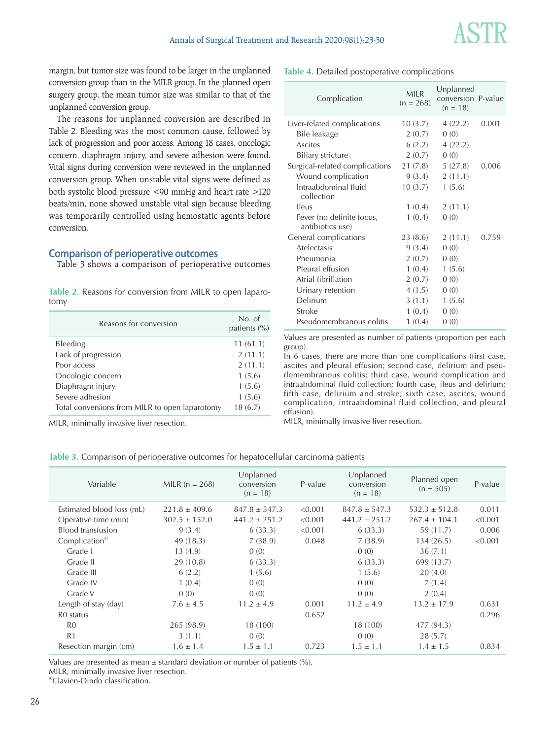

margin, but tumor size was found to be larger in the unplanned conversion group than in the MILR group. In the planned open surgery group, the mean tumor size was similar to that of the unplanned conversion group.

The reasons for unplanned conversion are described in Table 2. Bleeding was the most common cause, followed by lack of progression and poor access. Among 18 cases, oncologic concern, diaphragm injury, and severe adhesion were found. Vital signs during conversion were reviewed in the unplanned conversion group. When unstable vital signs were defined as both systolic blood pressure <90 mmHg and heart rate >120 beats/min, none showed unstable vital sign because bleeding was temporarily controlled using hemostatic agents before conversion.

#### **Comparison of perioperative outcomes**

Table 3 shows a comparison of perioperative outcomes

|      |  | Table 2. Reasons for conversion from MILR to open laparo- |  |  |  |
|------|--|-----------------------------------------------------------|--|--|--|
| tomy |  |                                                           |  |  |  |

| Reasons for conversion                         | No. of<br>patients (%) |
|------------------------------------------------|------------------------|
| Bleeding                                       | 11(61.1)               |
| Lack of progression                            | 2(11.1)                |
| Poor access                                    | 2(11.1)                |
| Oncologic concern                              | 1(5.6)                 |
| Diaphragm injury                               | 1(5.6)                 |
| Severe adhesion                                | 1(5.6)                 |
| Total conversions from MILR to open laparotomy | 18(6.7)                |

MILR, minimally invasive liver resection.

**Table 4.** Detailed postoperative complications

| Complication                                  | <b>MILR</b><br>$(n = 268)$ | Unplanned<br>conversion P-value<br>$(n = 18)$ |       |
|-----------------------------------------------|----------------------------|-----------------------------------------------|-------|
| Liver-related complications                   | 10(3.7)                    | 4(22.2)                                       | 0.001 |
| Bile leakage                                  | 2(0.7)                     | 0(0)                                          |       |
| Ascites                                       | 6(2.2)                     | 4(22.2)                                       |       |
| <b>Biliary stricture</b>                      | 2(0.7)                     | 0(0)                                          |       |
| Surgical-related complications                | 21 (7.8)                   | 5(27.8)                                       | 0.006 |
| Wound complication                            | 9(3.4)                     | 2(11.1)                                       |       |
| Intraabdominal fluid<br>collection            | 10(3.7)                    | 1(5.6)                                        |       |
| Ileus                                         | 1(0.4)                     | 2(11.1)                                       |       |
| Fever (no definite focus,<br>antibiotics use) | 1(0.4)                     | 0(0)                                          |       |
| General complications                         | 23 (8.6)                   | 2(11.1)                                       | 0.759 |
| Atelectasis                                   | 9(3.4)                     | 0(0)                                          |       |
| Pneumonia                                     | 2(0.7)                     | 0(0)                                          |       |
| Pleural effusion                              | 1(0.4)                     | 1(5.6)                                        |       |
| Atrial fibrillation                           | 2(0.7)                     | 0(0)                                          |       |
| Urinary retention                             | 4(1.5)                     | 0(0)                                          |       |
| Delirium                                      | 3(1.1)                     | 1(5.6)                                        |       |
| Stroke                                        | 1(0.4)                     | 0(0)                                          |       |
| Pseudomembranous colitis                      | 1(0.4)                     | 0(0)                                          |       |

Values are presented as number of patients (proportion per each group).

In 6 cases, there are more than one complications (first case, ascites and pleural effusion; second case, delirium and pseudomembranous colitis; third case, wound complication and intraabdominal fluid collection; fourth case, ileus and delirium; fifth case, delirium and stroke; sixth case, ascites, wound complication, intraabdominal fluid collection, and pleural effusion).

MILR, minimally invasive liver resection.

| Table 3. Comparison of perioperative outcomes for hepatocellular carcinoma patients |
|-------------------------------------------------------------------------------------|
|-------------------------------------------------------------------------------------|

| Variable                   | MILR $(n = 268)$  | Unplanned<br>conversion<br>$(n = 18)$ | P-value | Unplanned<br>conversion<br>$(n = 18)$ | Planned open<br>$(n = 505)$ | P-value |
|----------------------------|-------------------|---------------------------------------|---------|---------------------------------------|-----------------------------|---------|
| Estimated blood loss (mL)  | $221.8 \pm 409.6$ | $847.8 \pm 547.3$                     | < 0.001 | $847.8 \pm 547.3$                     | $532.3 \pm 512.8$           | 0.011   |
| Operative time (min)       | $302.5 \pm 152.0$ | $441.2 \pm 251.2$                     | < 0.001 | $441.2 \pm 251.2$                     | $267.4 \pm 104.1$           | < 0.001 |
| Blood transfusion          | 9(3.4)            | 6(33.3)                               | < 0.001 | 6(33.3)                               | 59 (11.7)                   | 0.006   |
| Complication <sup>a)</sup> | 49 (18.3)         | 7(38.9)                               | 0.048   | 7(38.9)                               | 134 (26.5)                  | < 0.001 |
| Grade I                    | 13(4.9)           | 0(0)                                  |         | 0(0)                                  | 36(7.1)                     |         |
| Grade II                   | 29(10.8)          | 6(33.3)                               |         | 6(33.3)                               | 699 (13.7)                  |         |
| Grade III                  | 6(2.2)            | 1(5.6)                                |         | 1(5.6)                                | 20(4.0)                     |         |
| Grade IV                   | 1(0.4)            | 0(0)                                  |         | 0(0)                                  | 7(1.4)                      |         |
| Grade V                    | 0(0)              | 0(0)                                  |         | 0(0)                                  | 2(0.4)                      |         |
| Length of stay (day)       | $7.6 \pm 4.5$     | $11.2 \pm 4.9$                        | 0.001   | $11.2 \pm 4.9$                        | $13.2 \pm 17.9$             | 0.631   |
| R <sub>0</sub> status      |                   |                                       | 0.652   |                                       |                             | 0.296   |
| R <sub>0</sub>             | 265 (98.9)        | 18 (100)                              |         | 18 (100)                              | 477 (94.3)                  |         |
| R <sub>1</sub>             | 3(1.1)            | 0(0)                                  |         | 0(0)                                  | 28(5.7)                     |         |
| Resection margin (cm)      | $1.6 \pm 1.4$     | $1.5 \pm 1.1$                         | 0.723   | $1.5 \pm 1.1$                         | $1.4 \pm 1.5$               | 0.834   |
|                            |                   |                                       |         |                                       |                             |         |

Values are presented as mean  $\pm$  standard deviation or number of patients (%).

MILR, minimally invasive liver resection.

a)Clavien-Dindo classification.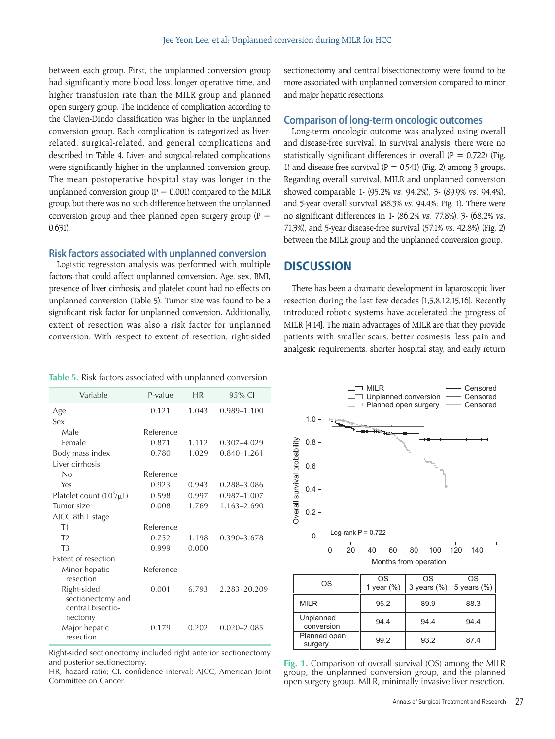between each group. First, the unplanned conversion group had significantly more blood loss, longer operative time, and higher transfusion rate than the MILR group and planned open surgery group. The incidence of complication according to the Clavien-Dindo classification was higher in the unplanned conversion group. Each complication is categorized as liverrelated, surgical-related, and general complications and described in Table 4. Liver- and surgical-related complications were significantly higher in the unplanned conversion group. The mean postoperative hospital stay was longer in the unplanned conversion group ( $P = 0.001$ ) compared to the MILR group, but there was no such difference between the unplanned conversion group and thee planned open surgery group ( $P =$ 0.631).

#### **Risk factors associated with unplanned conversion**

Logistic regression analysis was performed with multiple factors that could affect unplanned conversion. Age, sex, BMI, presence of liver cirrhosis, and platelet count had no effects on unplanned conversion (Table 5). Tumor size was found to be a significant risk factor for unplanned conversion. Additionally, extent of resection was also a risk factor for unplanned conversion. With respect to extent of resection, right-sided sectionectomy and central bisectionectomy were found to be more associated with unplanned conversion compared to minor and major hepatic resections.

#### **Comparison of long-term oncologic outcomes**

Long-term oncologic outcome was analyzed using overall and disease-free survival. In survival analysis, there were no statistically significant differences in overall  $(P = 0.722)$  (Fig. 1) and disease-free survival ( $P = 0.541$ ) (Fig. 2) among 3 groups. Regarding overall survival, MILR and unplanned conversion showed comparable 1- (95.2% vs. 94.2%), 3- (89.9% vs. 94.4%), and 5-year overall survival (88.3% vs. 94.4%; Fig. 1). There were no significant differences in 1- (86.2% vs. 77.8%), 3- (68.2% vs. 71.3%), and 5-year disease-free survival (57.1% vs. 42.8%) (Fig. 2) between the MILR group and the unplanned conversion group.

# **DISCUSSION**

There has been a dramatic development in laparoscopic liver resection during the last few decades [1,5,8,12,15,16]. Recently introduced robotic systems have accelerated the progress of MILR [4,14]. The main advantages of MILR are that they provide patients with smaller scars, better cosmesis, less pain and analgesic requirements, shorter hospital stay, and early return

|  |  |  | <b>Table 5.</b> Risk factors associated with unplanned conversion |
|--|--|--|-------------------------------------------------------------------|
|  |  |  |                                                                   |

| P-value   | HR    | 95% CI          |
|-----------|-------|-----------------|
| 0.121     | 1.043 | $0.989 - 1.100$ |
|           |       |                 |
| Reference |       |                 |
| 0.871     | 1.112 | 0.307-4.029     |
| 0.780     | 1.029 | $0.840 - 1.261$ |
|           |       |                 |
| Reference |       |                 |
| 0.923     | 0.943 | 0.288-3.086     |
| 0.598     | 0.997 | 0.987-1.007     |
| 0.008     | 1.769 | 1.163-2.690     |
|           |       |                 |
| Reference |       |                 |
| 0.752     | 1.198 | 0.390-3.678     |
| 0.999     | 0.000 |                 |
|           |       |                 |
| Reference |       |                 |
| 0.001     | 6.793 | 2.283-20.209    |
|           |       |                 |
| 0.179     | 0.202 | $0.020 - 2.085$ |
|           |       |                 |
|           |       |                 |

Right-sided sectionectomy included right anterior sectionectomy and posterior sectionectomy.

HR, hazard ratio; CI, confidence interval; AJCC, American Joint Committee on Cancer.



| OS                      | OS            | OS             | OS             |
|-------------------------|---------------|----------------|----------------|
|                         | 1 year $(\%)$ | 3 years $(\%)$ | 5 years $(\%)$ |
| <b>MILR</b>             | 95.2          | 89.9           | 88.3           |
| Unplanned<br>conversion | 94.4          | 94.4           | 94.4           |
| Planned open<br>surgery | 99.2          | 93.2           | 87.4           |

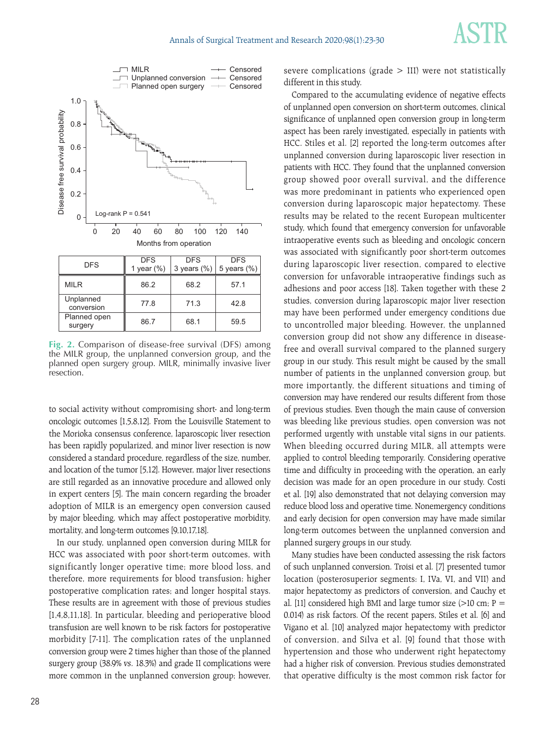



**Fig. 2.** Comparison of disease-free survival (DFS) among the MILR group, the unplanned conversion group, and the planned open surgery group. MILR, minimally invasive liver resection.

to social activity without compromising short- and long-term oncologic outcomes [1,5,8,12]. From the Louisville Statement to the Morioka consensus conference, laparoscopic liver resection has been rapidly popularized, and minor liver resection is now considered a standard procedure, regardless of the size, number, and location of the tumor [5,12]. However, major liver resections are still regarded as an innovative procedure and allowed only in expert centers [5]. The main concern regarding the broader adoption of MILR is an emergency open conversion caused by major bleeding, which may affect postoperative morbidity, mortality, and long-term outcomes [9,10,17,18].

In our study, unplanned open conversion during MILR for HCC was associated with poor short-term outcomes, with significantly longer operative time; more blood loss, and therefore, more requirements for blood transfusion; higher postoperative complication rates; and longer hospital stays. These results are in agreement with those of previous studies [1,4,8,11,18]. In particular, bleeding and perioperative blood transfusion are well known to be risk factors for postoperative morbidity [7-11]. The complication rates of the unplanned conversion group were 2 times higher than those of the planned surgery group (38.9% vs. 18.3%) and grade II complications were more common in the unplanned conversion group; however, severe complications (grade  $>$  III) were not statistically different in this study.

Compared to the accumulating evidence of negative effects of unplanned open conversion on short-term outcomes, clinical significance of unplanned open conversion group in long-term aspect has been rarely investigated, especially in patients with HCC. Stiles et al. [2] reported the long-term outcomes after unplanned conversion during laparoscopic liver resection in patients with HCC. They found that the unplanned conversion group showed poor overall survival, and the difference was more predominant in patients who experienced open conversion during laparoscopic major hepatectomy. These results may be related to the recent European multicenter study, which found that emergency conversion for unfavorable intraoperative events such as bleeding and oncologic concern was associated with significantly poor short-term outcomes during laparoscopic liver resection, compared to elective conversion for unfavorable intraoperative findings such as adhesions and poor access [18]. Taken together with these 2 studies, conversion during laparoscopic major liver resection may have been performed under emergency conditions due to uncontrolled major bleeding. However, the unplanned conversion group did not show any difference in diseasefree and overall survival compared to the planned surgery group in our study. This result might be caused by the small number of patients in the unplanned conversion group, but more importantly, the different situations and timing of conversion may have rendered our results different from those of previous studies. Even though the main cause of conversion was bleeding like previous studies, open conversion was not performed urgently with unstable vital signs in our patients. When bleeding occurred during MILR, all attempts were applied to control bleeding temporarily. Considering operative time and difficulty in proceeding with the operation, an early decision was made for an open procedure in our study. Costi et al. [19] also demonstrated that not delaying conversion may reduce blood loss and operative time. Nonemergency conditions and early decision for open conversion may have made similar long-term outcomes between the unplanned conversion and planned surgery groups in our study.

Many studies have been conducted assessing the risk factors of such unplanned conversion. Troisi et al. [7] presented tumor location (posterosuperior segments: I, IVa, VI, and VII) and major hepatectomy as predictors of conversion, and Cauchy et al. [11] considered high BMI and large tumor size  $(>10$  cm; P = 0.014) as risk factors. Of the recent papers, Stiles et al. [6] and Vigano et al. [10] analyzed major hepatectomy with predictor of conversion, and Silva et al. [9] found that those with hypertension and those who underwent right hepatectomy had a higher risk of conversion. Previous studies demonstrated that operative difficulty is the most common risk factor for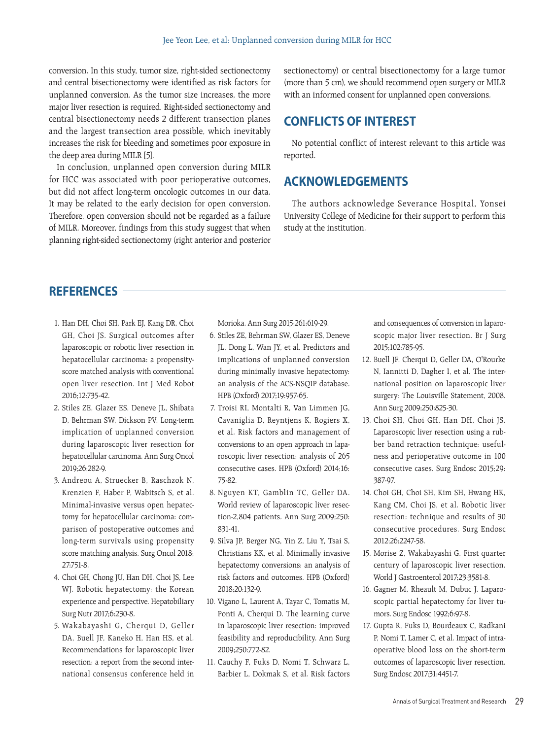conversion. In this study, tumor size, right-sided sectionectomy and central bisectionectomy were identified as risk factors for unplanned conversion. As the tumor size increases, the more major liver resection is required. Right-sided sectionectomy and central bisectionectomy needs 2 different transection planes and the largest transection area possible, which inevitably increases the risk for bleeding and sometimes poor exposure in the deep area during MILR [5].

In conclusion, unplanned open conversion during MILR for HCC was associated with poor perioperative outcomes, but did not affect long-term oncologic outcomes in our data. It may be related to the early decision for open conversion. Therefore, open conversion should not be regarded as a failure of MILR. Moreover, findings from this study suggest that when planning right-sided sectionectomy (right anterior and posterior sectionectomy) or central bisectionectomy for a large tumor (more than 5 cm), we should recommend open surgery or MILR with an informed consent for unplanned open conversions.

# **CONFLICTS OF INTEREST**

No potential conflict of interest relevant to this article was reported.

# **ACKNOWLEDGEMENTS**

The authors acknowledge Severance Hospital, Yonsei University College of Medicine for their support to perform this study at the institution.

# **REFERENCES**

- 1. Han DH, Choi SH, Park EJ, Kang DR, Choi GH, Choi JS. Surgical outcomes after laparoscopic or robotic liver resection in hepatocellular carcinoma: a propensityscore matched analysis with conventional open liver resection. Int J Med Robot 2016;12:735-42.
- 2. Stiles ZE, Glazer ES, Deneve JL, Shibata D, Behrman SW, Dickson PV. Long-term implication of unplanned conversion during laparoscopic liver resection for hepatocellular carcinoma. Ann Surg Oncol 2019;26:282-9.
- 3. Andreou A, Struecker B, Raschzok N, Krenzien F, Haber P, Wabitsch S, et al. Minimal-invasive versus open hepatectomy for hepatocellular carcinoma: comparison of postoperative outcomes and long-term survivals using propensity score matching analysis. Surg Oncol 2018; 27:751-8.
- 4. Choi GH, Chong JU, Han DH, Choi JS, Lee WJ. Robotic hepatectomy: the Korean experience and perspective. Hepatobiliary Surg Nutr 2017;6:230-8.
- 5. Wakabayashi G, Cherqui D, Geller DA, Buell JF, Kaneko H, Han HS, et al. Recommendations for laparoscopic liver resection: a report from the second international consensus conference held in

Morioka. Ann Surg 2015;261:619-29.

- 6. Stiles ZE, Behrman SW, Glazer ES, Deneve JL, Dong L, Wan JY, et al. Predictors and implications of unplanned conversion during minimally invasive hepatectomy: an analysis of the ACS-NSQIP database. HPB (Oxford) 2017;19:957-65.
- 7. Troisi RI, Montalti R, Van Limmen JG, Cavaniglia D, Reyntjens K, Rogiers X, et al. Risk factors and management of conversions to an open approach in laparoscopic liver resection: analysis of 265 consecutive cases. HPB (Oxford) 2014;16: 75-82.
- 8. Nguyen KT, Gamblin TC, Geller DA. World review of laparoscopic liver resection-2,804 patients. Ann Surg 2009;250: 831-41.
- 9. Silva JP, Berger NG, Yin Z, Liu Y, Tsai S, Christians KK, et al. Minimally invasive hepatectomy conversions: an analysis of risk factors and outcomes. HPB (Oxford) 2018;20:132-9.
- 10. Vigano L, Laurent A, Tayar C, Tomatis M, Ponti A, Cherqui D. The learning curve in laparoscopic liver resection: improved feasibility and reproducibility. Ann Surg 2009;250:772-82.
- 11. Cauchy F, Fuks D, Nomi T, Schwarz L, Barbier L, Dokmak S, et al. Risk factors

and consequences of conversion in laparoscopic major liver resection. Br J Surg 2015;102:785-95.

- 12. Buell JF, Cherqui D, Geller DA, O'Rourke N, Iannitti D, Dagher I, et al. The international position on laparoscopic liver surgery: The Louisville Statement, 2008. Ann Surg 2009;250:825-30.
- 13. Choi SH, Choi GH, Han DH, Choi JS. Laparoscopic liver resection using a rubber band retraction technique: usefulness and perioperative outcome in 100 consecutive cases. Surg Endosc 2015;29: 387-97.
- 14. Choi GH, Choi SH, Kim SH, Hwang HK, Kang CM, Choi JS, et al. Robotic liver resection: technique and results of 30 consecutive procedures. Surg Endosc 2012;26:2247-58.
- 15. Morise Z, Wakabayashi G. First quarter century of laparoscopic liver resection. World J Gastroenterol 2017;23:3581-8.
- 16. Gagner M, Rheault M, Dubuc J. Laparoscopic partial hepatectomy for liver tumors. Surg Endosc 1992;6:97-8.
- 17. Gupta R, Fuks D, Bourdeaux C, Radkani P, Nomi T, Lamer C, et al. Impact of intraoperative blood loss on the short-term outcomes of laparoscopic liver resection. Surg Endosc 2017;31:4451-7.